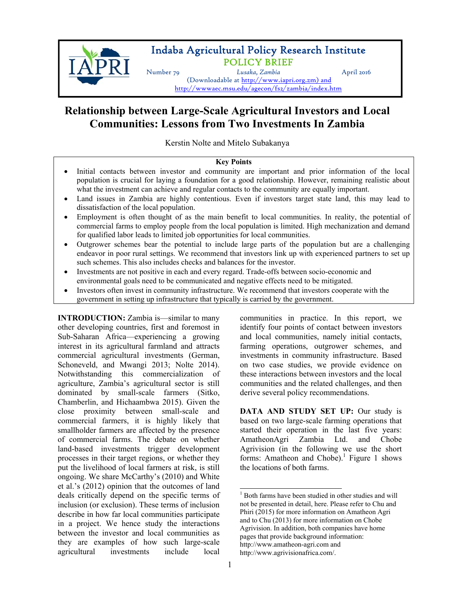

## Indaba Agricultural Policy Research Institute POLICY BRIEF

Number 79 *Lusaka, Zambia* April 2016 (Downloadable at http://www.iapri.org.zm) and http://wwwaec.msu.edu/agecon/fs2/zambia/index.htm

# **Relationship between Large-Scale Agricultural Investors and Local Communities: Lessons from Two Investments In Zambia**

Kerstin Nolte and Mitelo Subakanya

### **Key Points**

- Initial contacts between investor and community are important and prior information of the local population is crucial for laying a foundation for a good relationship. However, remaining realistic about what the investment can achieve and regular contacts to the community are equally important.
- Land issues in Zambia are highly contentious. Even if investors target state land, this may lead to dissatisfaction of the local population.
- Employment is often thought of as the main benefit to local communities. In reality, the potential of commercial farms to employ people from the local population is limited. High mechanization and demand for qualified labor leads to limited job opportunities for local communities.
- Outgrower schemes bear the potential to include large parts of the population but are a challenging endeavor in poor rural settings. We recommend that investors link up with experienced partners to set up such schemes. This also includes checks and balances for the investor.
- Investments are not positive in each and every regard. Trade-offs between socio-economic and environmental goals need to be communicated and negative effects need to be mitigated.
- Investors often invest in community infrastructure. We recommend that investors cooperate with the government in setting up infrastructure that typically is carried by the government.

**INTRODUCTION:** Zambia is—similar to many other developing countries, first and foremost in Sub-Saharan Africa—experiencing a growing interest in its agricultural farmland and attracts commercial agricultural investments (German, Schoneveld, and Mwangi 2013; Nolte 2014). Notwithstanding this commercialization of agriculture, Zambia's agricultural sector is still dominated by small-scale farmers (Sitko, Chamberlin, and Hichaambwa 2015). Given the close proximity between small-scale and commercial farmers, it is highly likely that smallholder farmers are affected by the presence of commercial farms. The debate on whether land-based investments trigger development processes in their target regions, or whether they put the livelihood of local farmers at risk, is still ongoing. We share McCarthy's (2010) and White et al.'s (2012) opinion that the outcomes of land deals critically depend on the specific terms of inclusion (or exclusion). These terms of inclusion describe in how far local communities participate in a project. We hence study the interactions between the investor and local communities as they are examples of how such large-scale agricultural investments include local communities in practice. In this report, we identify four points of contact between investors and local communities, namely initial contacts, farming operations, outgrower schemes, and investments in community infrastructure. Based on two case studies, we provide evidence on these interactions between investors and the local communities and the related challenges, and then derive several policy recommendations.

**DATA AND STUDY SET UP:** Our study is based on two large-scale farming operations that started their operation in the last five years: AmatheonAgri Zambia Ltd. and Chobe Agrivision (in the following we use the short forms: Amatheon and Chobe).<sup>1</sup> Figure 1 shows the locations of both farms.

 1 Both farms have been studied in other studies and will not be presented in detail, here. Please refer to Chu and Phiri (2015) for more information on Amatheon Agri and to Chu (2013) for more information on Chobe Agrivision. In addition, both companies have home pages that provide background information: http://www.amatheon-agri.com and http://www.agrivisionafrica.com/.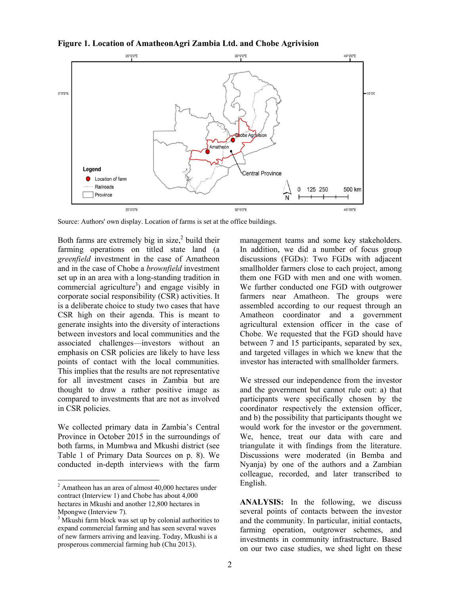

**Figure 1. Location of AmatheonAgri Zambia Ltd. and Chobe Agrivision** 

Source: Authors' own display. Location of farms is set at the office buildings.

Both farms are extremely big in size, $2$  build their farming operations on titled state land (a *greenfield* investment in the case of Amatheon and in the case of Chobe a *brownfield* investment set up in an area with a long-standing tradition in commercial agriculture<sup>3</sup>) and engage visibly in corporate social responsibility (CSR) activities. It is a deliberate choice to study two cases that have CSR high on their agenda. This is meant to generate insights into the diversity of interactions between investors and local communities and the associated challenges—investors without an emphasis on CSR policies are likely to have less points of contact with the local communities. This implies that the results are not representative for all investment cases in Zambia but are thought to draw a rather positive image as compared to investments that are not as involved in CSR policies.

We collected primary data in Zambia's Central Province in October 2015 in the surroundings of both farms, in Mumbwa and Mkushi district (see Table 1 of Primary Data Sources on p. 8). We conducted in-depth interviews with the farm management teams and some key stakeholders. In addition, we did a number of focus group discussions (FGDs): Two FGDs with adjacent smallholder farmers close to each project, among them one FGD with men and one with women. We further conducted one FGD with outgrower farmers near Amatheon. The groups were assembled according to our request through an Amatheon coordinator and a government agricultural extension officer in the case of Chobe. We requested that the FGD should have between 7 and 15 participants, separated by sex, and targeted villages in which we knew that the investor has interacted with smallholder farmers.

We stressed our independence from the investor and the government but cannot rule out: a) that participants were specifically chosen by the coordinator respectively the extension officer, and b) the possibility that participants thought we would work for the investor or the government. We, hence, treat our data with care and triangulate it with findings from the literature. Discussions were moderated (in Bemba and Nyanja) by one of the authors and a Zambian colleague, recorded, and later transcribed to English.

**ANALYSIS:** In the following, we discuss several points of contacts between the investor and the community. In particular, initial contacts, farming operation, outgrower schemes, and investments in community infrastructure. Based on our two case studies, we shed light on these

 2 Amatheon has an area of almost 40,000 hectares under contract (Interview 1) and Chobe has about 4,000 hectares in Mkushi and another 12,800 hectares in Mpongwe (Interview 7).

<sup>&</sup>lt;sup>3</sup> Mkushi farm block was set up by colonial authorities to expand commercial farming and has seen several waves of new farmers arriving and leaving. Today, Mkushi is a prosperous commercial farming hub (Chu 2013).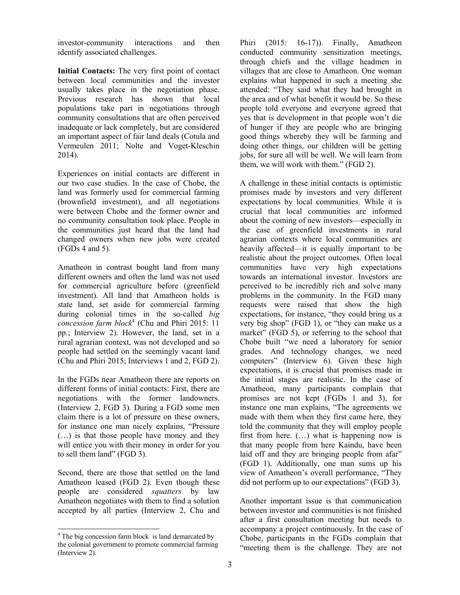investor-community interactions and then identify associated challenges.

**Initial Contacts:** The very first point of contact between local communities and the investor usually takes place in the negotiation phase. Previous research has shown that local populations take part in negotiations through community consultations that are often perceived inadequate or lack completely, but are considered an important aspect of fair land deals (Cotula and Vermeulen 2011; Nolte and Voget-Kleschin 2014).

Experiences on initial contacts are different in our two case studies. In the case of Chobe, the land was formerly used for commercial farming (brownfield investment), and all negotiations were between Chobe and the former owner and no community consultation took place. People in the communities just heard that the land had changed owners when new jobs were created (FGDs 4 and 5).

Amatheon in contrast bought land from many different owners and often the land was not used for commercial agriculture before (greenfield investment). All land that Amatheon holds is state land, set aside for commercial farming during colonial times in the so-called *big concession farm block*<sup>4</sup> (Chu and Phiri 2015: 11 pp.; Interview 2). However, the land, set in a rural agrarian context, was not developed and so people had settled on the seemingly vacant land (Chu and Phiri 2015; Interviews 1 and 2, FGD 2).

In the FGDs near Amatheon there are reports on different forms of initial contacts: First, there are negotiations with the former landowners. (Interview 2, FGD 3). During a FGD some men claim there is a lot of pressure on these owners, for instance one man nicely explains, "Pressure (…) is that those people have money and they will entice you with their money in order for you to sell them land" (FGD 3).

Second, there are those that settled on the land Amatheon leased (FGD 2). Even though these people are considered *squatters* by law Amatheon negotiates with them to find a solution accepted by all parties (Interview 2, Chu and Phiri (2015: 16-17)). Finally, Amatheon conducted community sensitization meetings, through chiefs and the village headmen in villages that are close to Amatheon. One woman explains what happened in such a meeting she attended: "They said what they had brought in the area and of what benefit it would be. So these people told everyone and everyone agreed that yes that is development in that people won't die of hunger if they are people who are bringing good things whereby they will be farming and doing other things, our children will be getting jobs, for sure all will be well. We will learn from them, we will work with them." (FGD 2).

A challenge in these initial contacts is optimistic promises made by investors and very different expectations by local communities. While it is crucial that local communities are informed about the coming of new investors—especially in the case of greenfield investments in rural agrarian contexts where local communities are heavily affected—it is equally important to be realistic about the project outcomes. Often local communities have very high expectations towards an international investor. Investors are perceived to be incredibly rich and solve many problems in the community. In the FGD many requests were raised that show the high expectations, for instance, "they could bring us a very big shop" (FGD 1), or "they can make us a market" (FGD 5), or referring to the school that Chobe built "we need a laboratory for senior grades. And technology changes, we need computers" (Interview 6). Given these high expectations, it is crucial that promises made in the initial stages are realistic. In the case of Amatheon, many participants complain that promises are not kept (FGDs 1 and 3), for instance one man explains, "The agreements we made with them when they first came here, they told the community that they will employ people first from here. (…) what is happening now is that many people from here Kaindu, have been laid off and they are bringing people from afar" (FGD 1). Additionally, one man sums up his view of Amatheon's overall performance, "They did not perform up to our expectations" (FGD 3).

Another important issue is that communication between investor and communities is not finished after a first consultation meeting but needs to accompany a project continuously. In the case of Chobe, participants in the FGDs complain that "meeting them is the challenge. They are not

<sup>-</sup><sup>4</sup> The big concession farm block is land demarcated by the colonial government to promote commercial farming (Interview 2).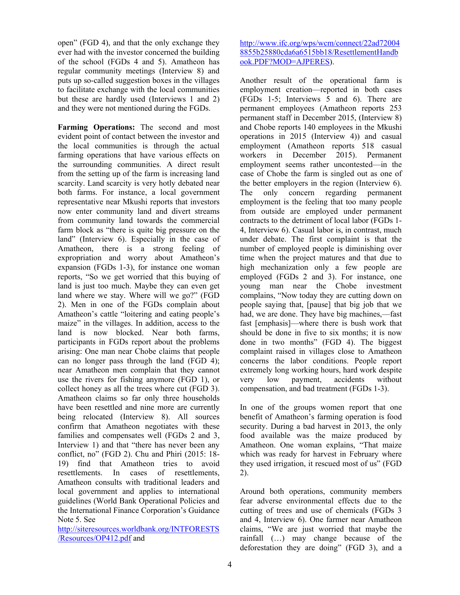open" (FGD 4), and that the only exchange they ever had with the investor concerned the building of the school (FGDs 4 and 5). Amatheon has regular community meetings (Interview 8) and puts up so-called suggestion boxes in the villages to facilitate exchange with the local communities but these are hardly used (Interviews 1 and 2) and they were not mentioned during the FGDs.

**Farming Operations:** The second and most evident point of contact between the investor and the local communities is through the actual farming operations that have various effects on the surrounding communities. A direct result from the setting up of the farm is increasing land scarcity. Land scarcity is very hotly debated near both farms. For instance, a local government representative near Mkushi reports that investors now enter community land and divert streams from community land towards the commercial farm block as "there is quite big pressure on the land" (Interview 6). Especially in the case of Amatheon, there is a strong feeling of expropriation and worry about Amatheon's expansion (FGDs 1-3), for instance one woman reports, "So we get worried that this buying of land is just too much. Maybe they can even get land where we stay. Where will we go?" (FGD 2). Men in one of the FGDs complain about Amatheon's cattle "loitering and eating people's maize" in the villages. In addition, access to the land is now blocked. Near both farms, participants in FGDs report about the problems arising: One man near Chobe claims that people can no longer pass through the land (FGD 4); near Amatheon men complain that they cannot use the rivers for fishing anymore (FGD 1), or collect honey as all the trees where cut (FGD 3). Amatheon claims so far only three households have been resettled and nine more are currently being relocated (Interview 8). All sources confirm that Amatheon negotiates with these families and compensates well (FGDs 2 and 3, Interview 1) and that "there has never been any conflict, no" (FGD 2). Chu and Phiri (2015: 18- 19) find that Amatheon tries to avoid resettlements. In cases of resettlements Amatheon consults with traditional leaders and local government and applies to international guidelines (World Bank Operational Policies and the International Finance Corporation's Guidance Note 5. See

http://siteresources.worldbank.org/INTFORESTS /Resources/OP412.pdf and

http://www.ifc.org/wps/wcm/connect/22ad72004 8855b25880cda6a6515bb18/ResettlementHandb ook.PDF?MOD=AJPERES).

Another result of the operational farm is employment creation—reported in both cases (FGDs 1-5; Interviews 5 and 6). There are permanent employees (Amatheon reports 253 permanent staff in December 2015, (Interview 8) and Chobe reports 140 employees in the Mkushi operations in 2015 (Interview 4)) and casual employment (Amatheon reports 518 casual workers in December 2015). Permanent employment seems rather uncontested—in the case of Chobe the farm is singled out as one of the better employers in the region (Interview 6). The only concern regarding permanent employment is the feeling that too many people from outside are employed under permanent contracts to the detriment of local labor (FGDs 1- 4, Interview 6). Casual labor is, in contrast, much under debate. The first complaint is that the number of employed people is diminishing over time when the project matures and that due to high mechanization only a few people are employed (FGDs 2 and 3). For instance, one young man near the Chobe investment complains, "Now today they are cutting down on people saying that, [pause] that big job that we had, we are done. They have big machines,—fast fast [emphasis]—where there is bush work that should be done in five to six months; it is now done in two months" (FGD 4). The biggest complaint raised in villages close to Amatheon concerns the labor conditions. People report extremely long working hours, hard work despite very low payment, accidents without compensation, and bad treatment (FGDs 1-3).

In one of the groups women report that one benefit of Amatheon's farming operation is food security. During a bad harvest in 2013, the only food available was the maize produced by Amatheon. One woman explains, "That maize which was ready for harvest in February where they used irrigation, it rescued most of us" (FGD 2).

Around both operations, community members fear adverse environmental effects due to the cutting of trees and use of chemicals (FGDs 3 and 4, Interview 6). One farmer near Amatheon claims, "We are just worried that maybe the rainfall (…) may change because of the deforestation they are doing" (FGD 3), and a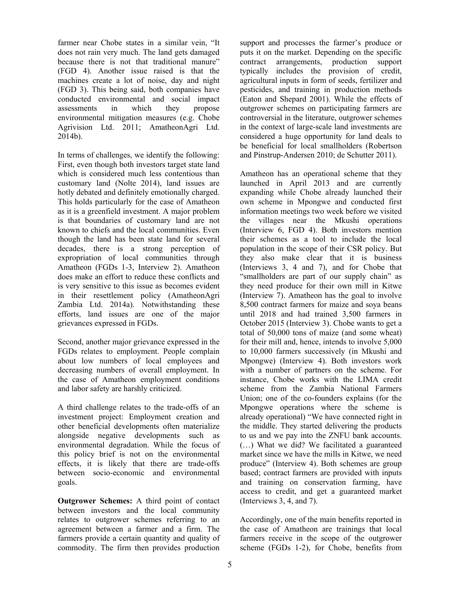farmer near Chobe states in a similar vein, "It does not rain very much. The land gets damaged because there is not that traditional manure" (FGD 4). Another issue raised is that the machines create a lot of noise, day and night (FGD 3). This being said, both companies have conducted environmental and social impact assessments in which they propose environmental mitigation measures (e.g. Chobe Agrivision Ltd. 2011; AmatheonAgri Ltd. 2014b).

In terms of challenges, we identify the following: First, even though both investors target state land which is considered much less contentious than customary land (Nolte 2014), land issues are hotly debated and definitely emotionally charged. This holds particularly for the case of Amatheon as it is a greenfield investment. A major problem is that boundaries of customary land are not known to chiefs and the local communities. Even though the land has been state land for several decades, there is a strong perception of expropriation of local communities through Amatheon (FGDs 1-3, Interview 2). Amatheon does make an effort to reduce these conflicts and is very sensitive to this issue as becomes evident in their resettlement policy (AmatheonAgri Zambia Ltd. 2014a). Notwithstanding these efforts, land issues are one of the major grievances expressed in FGDs.

Second, another major grievance expressed in the FGDs relates to employment. People complain about low numbers of local employees and decreasing numbers of overall employment. In the case of Amatheon employment conditions and labor safety are harshly criticized.

A third challenge relates to the trade-offs of an investment project: Employment creation and other beneficial developments often materialize alongside negative developments such as environmental degradation. While the focus of this policy brief is not on the environmental effects, it is likely that there are trade-offs between socio-economic and environmental goals.

**Outgrower Schemes:** A third point of contact between investors and the local community relates to outgrower schemes referring to an agreement between a farmer and a firm. The farmers provide a certain quantity and quality of commodity. The firm then provides production

support and processes the farmer's produce or puts it on the market. Depending on the specific contract arrangements, production support typically includes the provision of credit, agricultural inputs in form of seeds, fertilizer and pesticides, and training in production methods (Eaton and Shepard 2001). While the effects of outgrower schemes on participating farmers are controversial in the literature, outgrower schemes in the context of large-scale land investments are considered a huge opportunity for land deals to be beneficial for local smallholders (Robertson and Pinstrup-Andersen 2010; de Schutter 2011).

Amatheon has an operational scheme that they launched in April 2013 and are currently expanding while Chobe already launched their own scheme in Mpongwe and conducted first information meetings two week before we visited the villages near the Mkushi operations (Interview 6, FGD 4). Both investors mention their schemes as a tool to include the local population in the scope of their CSR policy. But they also make clear that it is business (Interviews 3, 4 and 7), and for Chobe that "smallholders are part of our supply chain" as they need produce for their own mill in Kitwe (Interview 7). Amatheon has the goal to involve 8,500 contract farmers for maize and soya beans until 2018 and had trained 3,500 farmers in October 2015 (Interview 3). Chobe wants to get a total of 50,000 tons of maize (and some wheat) for their mill and, hence, intends to involve 5,000 to 10,000 farmers successively (in Mkushi and Mpongwe) (Interview 4). Both investors work with a number of partners on the scheme. For instance, Chobe works with the LIMA credit scheme from the Zambia National Farmers Union; one of the co-founders explains (for the Mpongwe operations where the scheme is already operational) "We have connected right in the middle. They started delivering the products to us and we pay into the ZNFU bank accounts. (…) What we did? We facilitated a guaranteed market since we have the mills in Kitwe, we need produce" (Interview 4). Both schemes are group based; contract farmers are provided with inputs and training on conservation farming, have access to credit, and get a guaranteed market (Interviews 3, 4, and 7).

Accordingly, one of the main benefits reported in the case of Amatheon are trainings that local farmers receive in the scope of the outgrower scheme (FGDs 1-2), for Chobe, benefits from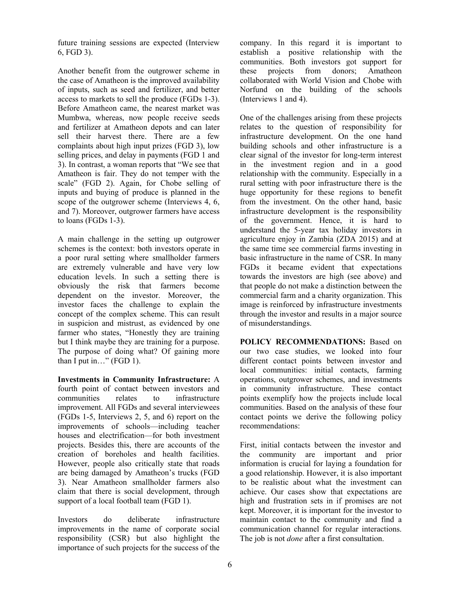future training sessions are expected (Interview 6, FGD 3).

Another benefit from the outgrower scheme in the case of Amatheon is the improved availability of inputs, such as seed and fertilizer, and better access to markets to sell the produce (FGDs 1-3). Before Amatheon came, the nearest market was Mumbwa, whereas, now people receive seeds and fertilizer at Amatheon depots and can later sell their harvest there. There are a few complaints about high input prizes (FGD 3), low selling prices, and delay in payments (FGD 1 and 3). In contrast, a woman reports that "We see that Amatheon is fair. They do not temper with the scale" (FGD 2). Again, for Chobe selling of inputs and buying of produce is planned in the scope of the outgrower scheme (Interviews 4, 6, and 7). Moreover, outgrower farmers have access to loans (FGDs 1-3).

A main challenge in the setting up outgrower schemes is the context: both investors operate in a poor rural setting where smallholder farmers are extremely vulnerable and have very low education levels. In such a setting there is obviously the risk that farmers become dependent on the investor. Moreover, the investor faces the challenge to explain the concept of the complex scheme. This can result in suspicion and mistrust, as evidenced by one farmer who states, "Honestly they are training but I think maybe they are training for a purpose. The purpose of doing what? Of gaining more than  $\overline{I}$  put in..." (FGD 1).

**Investments in Community Infrastructure:** A fourth point of contact between investors and<br>communities relates to infrastructure communities relates to infrastructure improvement. All FGDs and several interviewees (FGDs 1-5, Interviews 2, 5, and 6) report on the improvements of schools—including teacher houses and electrification—for both investment projects. Besides this, there are accounts of the creation of boreholes and health facilities. However, people also critically state that roads are being damaged by Amatheon's trucks (FGD 3). Near Amatheon smallholder farmers also claim that there is social development, through support of a local football team (FGD 1).

Investors do deliberate infrastructure improvements in the name of corporate social responsibility (CSR) but also highlight the importance of such projects for the success of the company. In this regard it is important to establish a positive relationship with the communities. Both investors got support for these projects from donors; Amatheon collaborated with World Vision and Chobe with Norfund on the building of the schools (Interviews 1 and 4).

One of the challenges arising from these projects relates to the question of responsibility for infrastructure development. On the one hand building schools and other infrastructure is a clear signal of the investor for long-term interest in the investment region and in a good relationship with the community. Especially in a rural setting with poor infrastructure there is the huge opportunity for these regions to benefit from the investment. On the other hand, basic infrastructure development is the responsibility of the government. Hence, it is hard to understand the 5-year tax holiday investors in agriculture enjoy in Zambia (ZDA 2015) and at the same time see commercial farms investing in basic infrastructure in the name of CSR. In many FGDs it became evident that expectations towards the investors are high (see above) and that people do not make a distinction between the commercial farm and a charity organization. This image is reinforced by infrastructure investments through the investor and results in a major source of misunderstandings.

**POLICY RECOMMENDATIONS:** Based on our two case studies, we looked into four different contact points between investor and local communities: initial contacts, farming operations, outgrower schemes, and investments in community infrastructure. These contact points exemplify how the projects include local communities. Based on the analysis of these four contact points we derive the following policy recommendations:

First, initial contacts between the investor and the community are important and prior information is crucial for laying a foundation for a good relationship. However, it is also important to be realistic about what the investment can achieve. Our cases show that expectations are high and frustration sets in if promises are not kept. Moreover, it is important for the investor to maintain contact to the community and find a communication channel for regular interactions. The job is not *done* after a first consultation.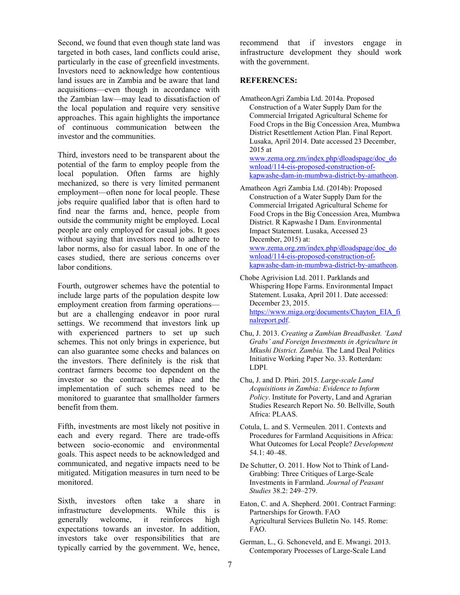Second, we found that even though state land was targeted in both cases, land conflicts could arise, particularly in the case of greenfield investments. Investors need to acknowledge how contentious land issues are in Zambia and be aware that land acquisitions—even though in accordance with the Zambian law—may lead to dissatisfaction of the local population and require very sensitive approaches. This again highlights the importance of continuous communication between the investor and the communities.

Third, investors need to be transparent about the potential of the farm to employ people from the local population. Often farms are highly mechanized, so there is very limited permanent employment—often none for local people. These jobs require qualified labor that is often hard to find near the farms and, hence, people from outside the community might be employed. Local people are only employed for casual jobs. It goes without saying that investors need to adhere to labor norms, also for casual labor. In one of the cases studied, there are serious concerns over labor conditions.

Fourth, outgrower schemes have the potential to include large parts of the population despite low employment creation from farming operations but are a challenging endeavor in poor rural settings. We recommend that investors link up with experienced partners to set up such schemes. This not only brings in experience, but can also guarantee some checks and balances on the investors. There definitely is the risk that contract farmers become too dependent on the investor so the contracts in place and the implementation of such schemes need to be monitored to guarantee that smallholder farmers benefit from them.

Fifth, investments are most likely not positive in each and every regard. There are trade-offs between socio-economic and environmental goals. This aspect needs to be acknowledged and communicated, and negative impacts need to be mitigated. Mitigation measures in turn need to be monitored.

Sixth, investors often take a share in infrastructure developments. While this is generally welcome, it reinforces high expectations towards an investor. In addition, investors take over responsibilities that are typically carried by the government. We, hence, recommend that if investors engage in infrastructure development they should work with the government.

#### **REFERENCES:**

AmatheonAgri Zambia Ltd. 2014a. Proposed Construction of a Water Supply Dam for the Commercial Irrigated Agricultural Scheme for Food Crops in the Big Concession Area, Mumbwa District Resettlement Action Plan. Final Report. Lusaka, April 2014. Date accessed 23 December, 2015 at www.zema.org.zm/index.php/dloadspage/doc\_do wnload/114-eis-proposed-construction-of-

kapwashe-dam-in-mumbwa-district-by-amatheon.

- Amatheon Agri Zambia Ltd. (2014b): Proposed Construction of a Water Supply Dam for the Commercial Irrigated Agricultural Scheme for Food Crops in the Big Concession Area, Mumbwa District. R Kapwashe I Dam. Environmental Impact Statement. Lusaka, Accessed 23 December, 2015) at: www.zema.org.zm/index.php/dloadspage/doc\_do wnload/114-eis-proposed-construction-ofkapwashe-dam-in-mumbwa-district-by-amatheon.
- Chobe Agrivision Ltd. 2011. Parklands and Whispering Hope Farms. Environmental Impact Statement. Lusaka, April 2011. Date accessed: December 23, 2015. https://www.miga.org/documents/Chayton\_EIA\_fi nalreport.pdf.
- Chu, J. 2013. *Creating a Zambian Breadbasket. 'Land Grabs' and Foreign Investments in Agriculture in Mkushi District. Zambia.* The Land Deal Politics Initiative Working Paper No. 33. Rotterdam: LDPI.
- Chu, J. and D. Phiri. 2015. *Large-scale Land Acquisitions in Zambia: Evidence to Inform Policy*. Institute for Poverty, Land and Agrarian Studies Research Report No. 50. Bellville, South Africa: PLAAS.
- Cotula, L. and S. Vermeulen. 2011. Contexts and Procedures for Farmland Acquisitions in Africa: What Outcomes for Local People? *Development* 54.1: 40–48.
- De Schutter, O. 2011. How Not to Think of Land-Grabbing: Three Critiques of Large-Scale Investments in Farmland. *Journal of Peasant Studies* 38.2: 249–279.
- Eaton, C. and A. Shepherd. 2001. Contract Farming: Partnerships for Growth. FAO Agricultural Services Bulletin No. 145. Rome: FAO.
- German, L., G. Schoneveld, and E. Mwangi. 2013. Contemporary Processes of Large-Scale Land